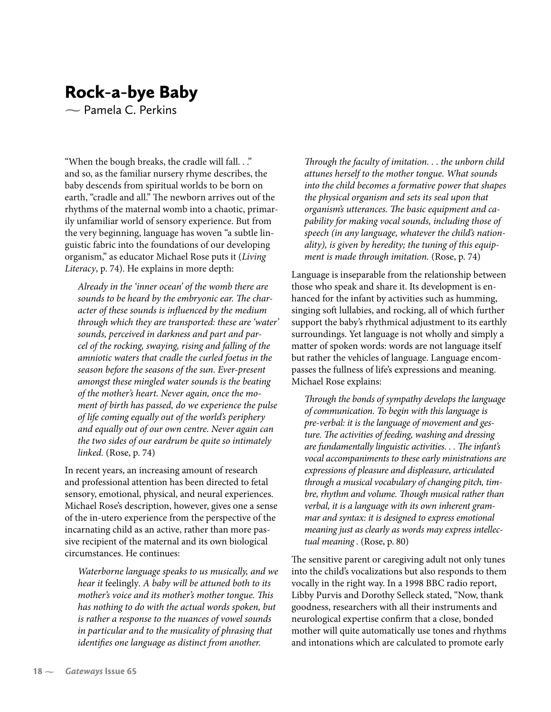## Rock-a-bye Baby

**-** Pamela C. Perkins

"When the bough breaks, the cradle will fall. . ." and so, as the familiar nursery rhyme describes, the baby descends from spiritual worlds to be born on earth, "cradle and all." The newborn arrives out of the rhythms of the maternal womb into a chaotic, primarily unfamiliar world of sensory experience. But from the very beginning, language has woven "a subtle linguistic fabric into the foundations of our developing organism," as educator Michael Rose puts it (Living Literacy, p. 74). He explains in more depth:

Already in the 'inner ocean' of the womb there are sounds to be heard by the embryonic ear. The character of these sounds is influenced by the medium through which they are transported: these are 'water' sounds, perceived in darkness and part and parcel of the rocking, swaying, rising and falling of the amniotic waters that cradle the curled foetus in the season before the seasons of the sun. Ever-present amongst these mingled water sounds is the beating of the mother's heart. Never again, once the moment of birth has passed, do we experience the pulse of life coming equally out of the world's periphery and equally out of our own centre. Never again can the two sides of our eardrum be quite so intimately linked. (Rose, p. 74)

In recent years, an increasing amount of research and professional attention has been directed to fetal sensory, emotional, physical, and neural experiences. Michael Rose's description, however, gives one a sense of the in-utero experience from the perspective of the incarnating child as an active, rather than more passive recipient of the maternal and its own biological circumstances. He continues:

Waterborne language speaks to us musically, and we hear it feelingly. A baby will be attuned both to its mother's voice and its mother's mother tongue. This has nothing to do with the actual words spoken, but is rather a response to the nuances of vowel sounds in particular and to the musicality of phrasing that identifies one language as distinct from another.

Through the faculty of imitation. . . the unborn child attunes herself to the mother tongue. What sounds into the child becomes a formative power that shapes the physical organism and sets its seal upon that organism's utterances. The basic equipment and capability for making vocal sounds, including those of speech (in any language, whatever the child's nationality), is given by heredity; the tuning of this equipment is made through imitation. (Rose, p. 74)

Language is inseparable from the relationship between those who speak and share it. Its development is enhanced for the infant by activities such as humming, singing soft lullabies, and rocking, all of which further support the baby's rhythmical adjustment to its earthly surroundings. Yet language is not wholly and simply a matter of spoken words: words are not language itself but rather the vehicles of language. Language encompasses the fullness of life's expressions and meaning. Michael Rose explains:

Through the bonds of sympathy develops the language of communication. To begin with this language is pre-verbal: it is the language of movement and gesture. The activities of feeding, washing and dressing are fundamentally linguistic activities. . . The infant's vocal accompaniments to these early ministrations are expressions of pleasure and displeasure, articulated through a musical vocabulary of changing pitch, timbre, rhythm and volume. Though musical rather than verbal, it is a language with its own inherent grammar and syntax: it is designed to express emotional meaning just as clearly as words may express intellectual meaning . (Rose, p. 80)

The sensitive parent or caregiving adult not only tunes into the child's vocalizations but also responds to them vocally in the right way. In a 1998 BBC radio report, Libby Purvis and Dorothy Selleck stated, "Now, thank goodness, researchers with all their instruments and neurological expertise confirm that a close, bonded mother will quite automatically use tones and rhythms and intonations which are calculated to promote early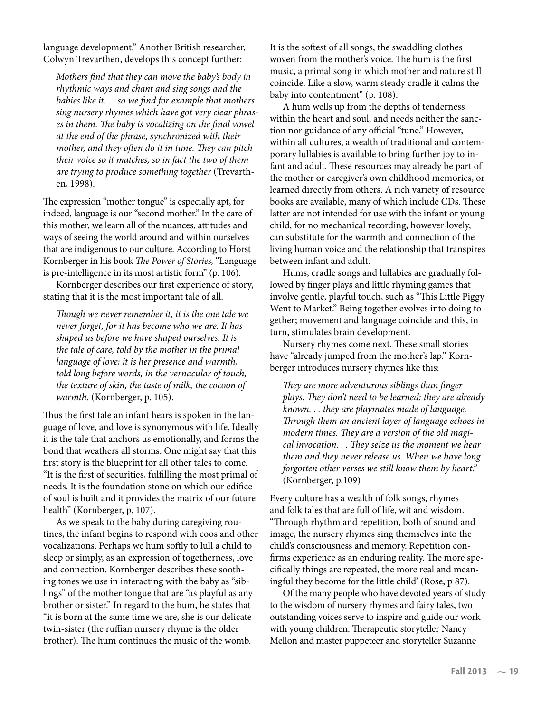language development." Another British researcher, Colwyn Trevarthen, develops this concept further:

Mothers find that they can move the baby's body in rhythmic ways and chant and sing songs and the babies like it. . . so we find for example that mothers sing nursery rhymes which have got very clear phrases in them. The baby is vocalizing on the final vowel at the end of the phrase, synchronized with their mother, and they often do it in tune. They can pitch their voice so it matches, so in fact the two of them are trying to produce something together (Trevarthen, 1998).

The expression "mother tongue" is especially apt, for indeed, language is our "second mother." In the care of this mother, we learn all of the nuances, attitudes and ways of seeing the world around and within ourselves that are indigenous to our culture. According to Horst Kornberger in his book The Power of Stories, "Language is pre-intelligence in its most artistic form" (p. 106).

Kornberger describes our first experience of story, stating that it is the most important tale of all.

Though we never remember it, it is the one tale we never forget, for it has become who we are. It has shaped us before we have shaped ourselves. It is the tale of care, told by the mother in the primal language of love; it is her presence and warmth, told long before words, in the vernacular of touch, the texture of skin, the taste of milk, the cocoon of warmth. (Kornberger, p. 105).

Thus the first tale an infant hears is spoken in the language of love, and love is synonymous with life. Ideally it is the tale that anchors us emotionally, and forms the bond that weathers all storms. One might say that this first story is the blueprint for all other tales to come. "It is the first of securities, fulfilling the most primal of needs. It is the foundation stone on which our edifice of soul is built and it provides the matrix of our future health" (Kornberger, p. 107).

As we speak to the baby during caregiving routines, the infant begins to respond with coos and other vocalizations. Perhaps we hum softly to lull a child to sleep or simply, as an expression of togetherness, love and connection. Kornberger describes these soothing tones we use in interacting with the baby as "siblings" of the mother tongue that are "as playful as any brother or sister." In regard to the hum, he states that "it is born at the same time we are, she is our delicate twin-sister (the ruffian nursery rhyme is the older brother). The hum continues the music of the womb.

It is the softest of all songs, the swaddling clothes woven from the mother's voice. The hum is the first music, a primal song in which mother and nature still coincide. Like a slow, warm steady cradle it calms the baby into contentment" (p. 108).

A hum wells up from the depths of tenderness within the heart and soul, and needs neither the sanction nor guidance of any official "tune." However, within all cultures, a wealth of traditional and contemporary lullabies is available to bring further joy to infant and adult. These resources may already be part of the mother or caregiver's own childhood memories, or learned directly from others. A rich variety of resource books are available, many of which include CDs. These latter are not intended for use with the infant or young child, for no mechanical recording, however lovely, can substitute for the warmth and connection of the living human voice and the relationship that transpires between infant and adult.

Hums, cradle songs and lullabies are gradually followed by finger plays and little rhyming games that involve gentle, playful touch, such as "This Little Piggy Went to Market." Being together evolves into doing together; movement and language coincide and this, in turn, stimulates brain development.

Nursery rhymes come next. These small stories have "already jumped from the mother's lap." Kornberger introduces nursery rhymes like this:

They are more adventurous siblings than finger plays. They don't need to be learned: they are already known. . . they are playmates made of language. Through them an ancient layer of language echoes in modern times. They are a version of the old magical invocation. . . They seize us the moment we hear them and they never release us. When we have long forgotten other verses we still know them by heart." (Kornberger, p.109)

Every culture has a wealth of folk songs, rhymes and folk tales that are full of life, wit and wisdom. "Through rhythm and repetition, both of sound and image, the nursery rhymes sing themselves into the child's consciousness and memory. Repetition confirms experience as an enduring reality. The more specifically things are repeated, the more real and meaningful they become for the little child' (Rose, p 87).

Of the many people who have devoted years of study to the wisdom of nursery rhymes and fairy tales, two outstanding voices serve to inspire and guide our work with young children. Therapeutic storyteller Nancy Mellon and master puppeteer and storyteller Suzanne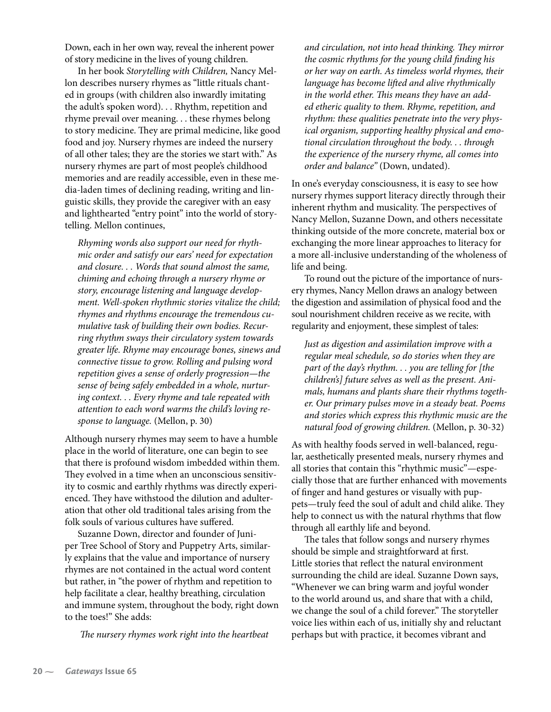Down, each in her own way, reveal the inherent power of story medicine in the lives of young children.

In her book Storytelling with Children, Nancy Mellon describes nursery rhymes as "little rituals chanted in groups (with children also inwardly imitating the adult's spoken word). . . Rhythm, repetition and rhyme prevail over meaning. . . these rhymes belong to story medicine. They are primal medicine, like good food and joy. Nursery rhymes are indeed the nursery of all other tales; they are the stories we start with." As nursery rhymes are part of most people's childhood memories and are readily accessible, even in these media-laden times of declining reading, writing and linguistic skills, they provide the caregiver with an easy and lighthearted "entry point" into the world of storytelling. Mellon continues,

Rhyming words also support our need for rhythmic order and satisfy our ears' need for expectation and closure. . . Words that sound almost the same, chiming and echoing through a nursery rhyme or story, encourage listening and language development. Well-spoken rhythmic stories vitalize the child; rhymes and rhythms encourage the tremendous cumulative task of building their own bodies. Recurring rhythm sways their circulatory system towards greater life. Rhyme may encourage bones, sinews and connective tissue to grow. Rolling and pulsing word repetition gives a sense of orderly progression—the sense of being safely embedded in a whole, nurturing context. . . Every rhyme and tale repeated with attention to each word warms the child's loving response to language. (Mellon, p. 30)

Although nursery rhymes may seem to have a humble place in the world of literature, one can begin to see that there is profound wisdom imbedded within them. They evolved in a time when an unconscious sensitivity to cosmic and earthly rhythms was directly experienced. They have withstood the dilution and adulteration that other old traditional tales arising from the folk souls of various cultures have suffered.

Suzanne Down, director and founder of Juniper Tree School of Story and Puppetry Arts, similarly explains that the value and importance of nursery rhymes are not contained in the actual word content but rather, in "the power of rhythm and repetition to help facilitate a clear, healthy breathing, circulation and immune system, throughout the body, right down to the toes!" She adds:

The nursery rhymes work right into the heartbeat

and circulation, not into head thinking. They mirror the cosmic rhythms for the young child finding his or her way on earth. As timeless world rhymes, their language has become lifted and alive rhythmically in the world ether. This means they have an added etheric quality to them. Rhyme, repetition, and rhythm: these qualities penetrate into the very physical organism, supporting healthy physical and emotional circulation throughout the body. . . through the experience of the nursery rhyme, all comes into order and balance" (Down, undated).

In one's everyday consciousness, it is easy to see how nursery rhymes support literacy directly through their inherent rhythm and musicality. The perspectives of Nancy Mellon, Suzanne Down, and others necessitate thinking outside of the more concrete, material box or exchanging the more linear approaches to literacy for a more all-inclusive understanding of the wholeness of life and being.

To round out the picture of the importance of nursery rhymes, Nancy Mellon draws an analogy between the digestion and assimilation of physical food and the soul nourishment children receive as we recite, with regularity and enjoyment, these simplest of tales:

Just as digestion and assimilation improve with a regular meal schedule, so do stories when they are part of the day's rhythm. . . you are telling for [the children's] future selves as well as the present. Animals, humans and plants share their rhythms together. Our primary pulses move in a steady beat. Poems and stories which express this rhythmic music are the natural food of growing children. (Mellon, p. 30-32)

As with healthy foods served in well-balanced, regular, aesthetically presented meals, nursery rhymes and all stories that contain this "rhythmic music"—especially those that are further enhanced with movements of finger and hand gestures or visually with puppets—truly feed the soul of adult and child alike. They help to connect us with the natural rhythms that flow through all earthly life and beyond.

The tales that follow songs and nursery rhymes should be simple and straightforward at first. Little stories that reflect the natural environment surrounding the child are ideal. Suzanne Down says, "Whenever we can bring warm and joyful wonder to the world around us, and share that with a child, we change the soul of a child forever." The storyteller voice lies within each of us, initially shy and reluctant perhaps but with practice, it becomes vibrant and